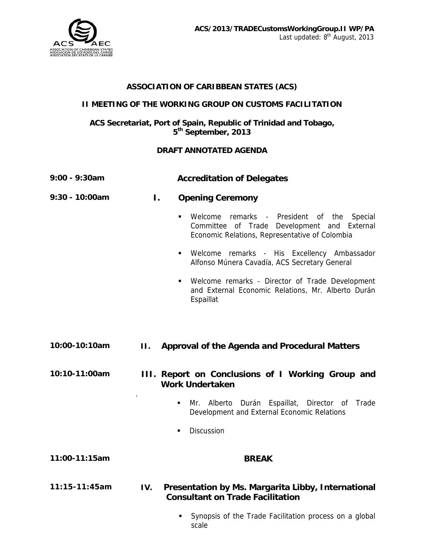

## **ASSOCIATION OF CARIBBEAN STATES (ACS)**

## **II MEETING OF THE WORKING GROUP ON CUSTOMS FACILITATION**

## **ACS Secretariat, Port of Spain, Republic of Trinidad and Tobago, 5th September, 2013**

## **DRAFT ANNOTATED AGENDA**

| 9:00 - 9:30am     | <b>Accreditation of Delegates</b>                                                                                                                                   |
|-------------------|---------------------------------------------------------------------------------------------------------------------------------------------------------------------|
| 9:30 - 10:00am    | Ι.<br><b>Opening Ceremony</b>                                                                                                                                       |
|                   | Welcome<br>remarks - President of the<br>Special<br>$\blacksquare$<br>Committee of Trade Development and External<br>Economic Relations, Representative of Colombia |
|                   | Welcome remarks - His Excellency Ambassador<br>$\blacksquare$<br>Alfonso Múnera Cavadía, ACS Secretary General                                                      |
|                   | Welcome remarks - Director of Trade Development<br>$\blacksquare$<br>and External Economic Relations, Mr. Alberto Durán<br>Espaillat                                |
|                   |                                                                                                                                                                     |
| 10:00-10:10am     | H.<br><b>Approval of the Agenda and Procedural Matters</b>                                                                                                          |
| 10:10-11:00am     | III. Report on Conclusions of I Working Group and<br><b>Work Undertaken</b>                                                                                         |
|                   | Mr. Alberto Durán Espaillat, Director of<br>Trade<br>٠<br>Development and External Economic Relations                                                               |
|                   | Discussion<br>٠                                                                                                                                                     |
| 11:00-11:15am     | <b>BREAK</b>                                                                                                                                                        |
| $11:15 - 11:45am$ | Presentation by Ms. Margarita Libby, International<br>IV.<br><b>Consultant on Trade Facilitation</b>                                                                |
|                   | Synopsis of the Trade Facilitation process on a global                                                                                                              |

scale